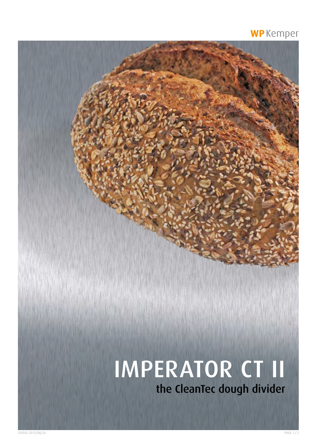### WP Kemper

# IMPERATOR CT II the CleanTec dough divider